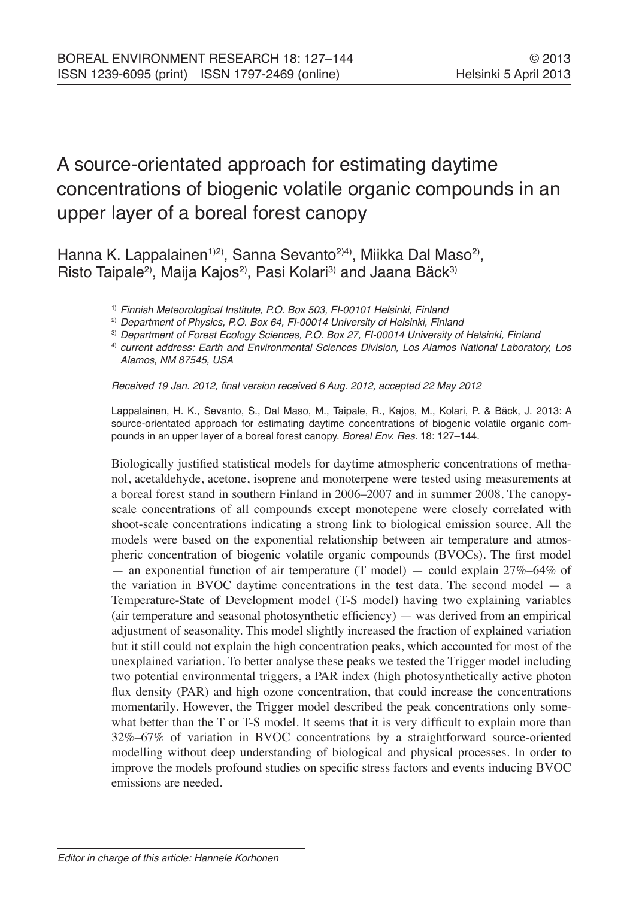# A source-orientated approach for estimating daytime concentrations of biogenic volatile organic compounds in an upper layer of a boreal forest canopy

Hanna K. Lappalainen<sup>1)2)</sup>, Sanna Sevanto<sup>2)4)</sup>, Miikka Dal Maso<sup>2)</sup>, Risto Taipale<sup>2</sup>, Maija Kajos<sup>2</sup>, Pasi Kolari<sup>3</sup> and Jaana Bäck<sup>3</sup>

<sup>1)</sup> Finnish Meteorological Institute, P.O. Box 503, FI-00101 Helsinki, Finland

<sup>2)</sup> Department of Physics, P.O. Box 64, FI-00014 University of Helsinki, Finland

<sup>3)</sup> Department of Forest Ecology Sciences, P.O. Box 27, FI-00014 University of Helsinki, Finland

4) current address: Earth and Environmental Sciences Division, Los Alamos National Laboratory, Los Alamos, NM 87545, USA

Received 19 Jan. 2012, final version received 6 Aug. 2012, accepted 22 May 2012

Lappalainen, H. K., Sevanto, S., Dal Maso, M., Taipale, R., Kajos, M., Kolari, P. & Bäck, J. 2013: A source-orientated approach for estimating daytime concentrations of biogenic volatile organic compounds in an upper layer of a boreal forest canopy. Boreal Env. Res. 18: 127–144.

Biologically justified statistical models for daytime atmospheric concentrations of methanol, acetaldehyde, acetone, isoprene and monoterpene were tested using measurements at a boreal forest stand in southern Finland in 2006–2007 and in summer 2008. The canopyscale concentrations of all compounds except monotepene were closely correlated with shoot-scale concentrations indicating a strong link to biological emission source. All the models were based on the exponential relationship between air temperature and atmospheric concentration of biogenic volatile organic compounds (BVOCs). The first model — an exponential function of air temperature (T model) — could explain  $27\% - 64\%$  of the variation in BVOC daytime concentrations in the test data. The second model — a Temperature-State of Development model (T-S model) having two explaining variables (air temperature and seasonal photosynthetic efficiency) — was derived from an empirical adjustment of seasonality. This model slightly increased the fraction of explained variation but it still could not explain the high concentration peaks, which accounted for most of the unexplained variation. To better analyse these peaks we tested the Trigger model including two potential environmental triggers, a PAR index (high photosynthetically active photon flux density (PAR) and high ozone concentration, that could increase the concentrations momentarily. However, the Trigger model described the peak concentrations only somewhat better than the T or T-S model. It seems that it is very difficult to explain more than 32%–67% of variation in BVOC concentrations by a straightforward source-oriented modelling without deep understanding of biological and physical processes. In order to improve the models profound studies on specific stress factors and events inducing BVOC emissions are needed.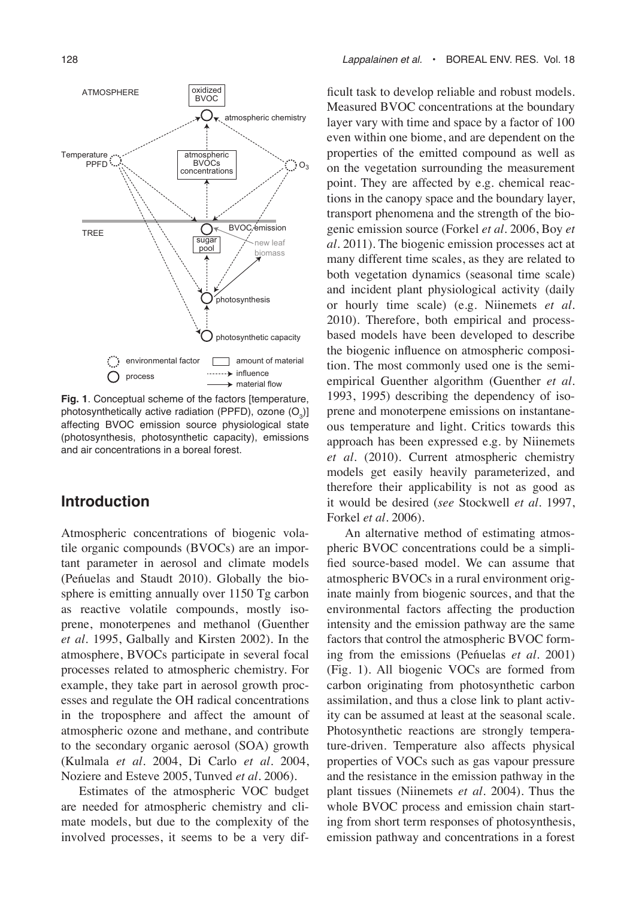

**Fig. 1**. Conceptual scheme of the factors [temperature, photosynthetically active radiation (PPFD), ozone  $(O_{3})$ ] affecting BVOC emission source physiological state (photosynthesis, photosynthetic capacity), emissions and air concentrations in a boreal forest.

# **Introduction**

Atmospheric concentrations of biogenic volatile organic compounds (BVOCs) are an important parameter in aerosol and climate models (Peńuelas and Staudt 2010). Globally the biosphere is emitting annually over 1150 Tg carbon as reactive volatile compounds, mostly isoprene, monoterpenes and methanol (Guenther *et al.* 1995, Galbally and Kirsten 2002). In the atmosphere, BVOCs participate in several focal processes related to atmospheric chemistry. For example, they take part in aerosol growth processes and regulate the OH radical concentrations in the troposphere and affect the amount of atmospheric ozone and methane, and contribute to the secondary organic aerosol (SOA) growth (Kulmala *et al.* 2004, Di Carlo *et al.* 2004, Noziere and Esteve 2005, Tunved *et al.* 2006).

Estimates of the atmospheric VOC budget are needed for atmospheric chemistry and climate models, but due to the complexity of the involved processes, it seems to be a very difficult task to develop reliable and robust models. Measured BVOC concentrations at the boundary layer vary with time and space by a factor of 100 even within one biome, and are dependent on the properties of the emitted compound as well as on the vegetation surrounding the measurement point. They are affected by e.g. chemical reactions in the canopy space and the boundary layer, transport phenomena and the strength of the biogenic emission source (Forkel *et al.* 2006, Boy *et al.* 2011). The biogenic emission processes act at many different time scales, as they are related to both vegetation dynamics (seasonal time scale) and incident plant physiological activity (daily or hourly time scale) (e.g. Niinemets *et al.* 2010). Therefore, both empirical and processbased models have been developed to describe the biogenic influence on atmospheric composition. The most commonly used one is the semiempirical Guenther algorithm (Guenther *et al.* 1993, 1995) describing the dependency of isoprene and monoterpene emissions on instantaneous temperature and light. Critics towards this approach has been expressed e.g. by Niinemets *et al.* (2010). Current atmospheric chemistry models get easily heavily parameterized, and therefore their applicability is not as good as it would be desired (*see* Stockwell *et al.* 1997, Forkel *et al.* 2006).

An alternative method of estimating atmospheric BVOC concentrations could be a simplified source-based model. We can assume that atmospheric BVOCs in a rural environment originate mainly from biogenic sources, and that the environmental factors affecting the production intensity and the emission pathway are the same factors that control the atmospheric BVOC forming from the emissions (Peńuelas *et al.* 2001) (Fig. 1). All biogenic VOCs are formed from carbon originating from photosynthetic carbon assimilation, and thus a close link to plant activity can be assumed at least at the seasonal scale. Photosynthetic reactions are strongly temperature-driven. Temperature also affects physical properties of VOCs such as gas vapour pressure and the resistance in the emission pathway in the plant tissues (Niinemets *et al.* 2004). Thus the whole BVOC process and emission chain starting from short term responses of photosynthesis, emission pathway and concentrations in a forest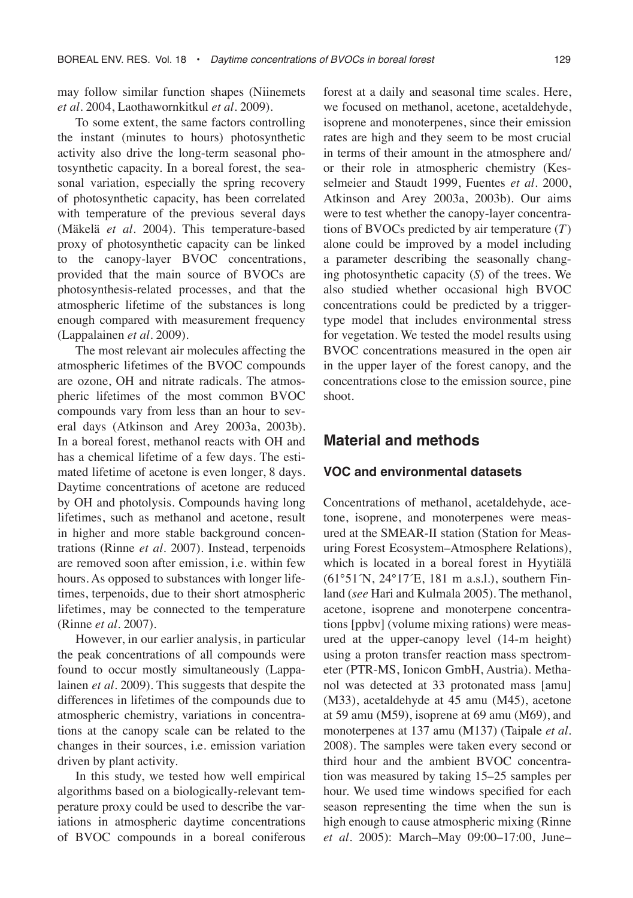may follow similar function shapes (Niinemets *et al.* 2004, Laothawornkitkul *et al.* 2009).

To some extent, the same factors controlling the instant (minutes to hours) photosynthetic activity also drive the long-term seasonal photosynthetic capacity. In a boreal forest, the seasonal variation, especially the spring recovery of photosynthetic capacity, has been correlated with temperature of the previous several days (Mäkelä *et al.* 2004). This temperature-based proxy of photosynthetic capacity can be linked to the canopy-layer BVOC concentrations, provided that the main source of BVOCs are photosynthesis-related processes, and that the atmospheric lifetime of the substances is long enough compared with measurement frequency (Lappalainen *et al.* 2009).

The most relevant air molecules affecting the atmospheric lifetimes of the BVOC compounds are ozone, OH and nitrate radicals. The atmospheric lifetimes of the most common BVOC compounds vary from less than an hour to several days (Atkinson and Arey 2003a, 2003b). In a boreal forest, methanol reacts with OH and has a chemical lifetime of a few days. The estimated lifetime of acetone is even longer, 8 days. Daytime concentrations of acetone are reduced by OH and photolysis. Compounds having long lifetimes, such as methanol and acetone, result in higher and more stable background concentrations (Rinne *et al.* 2007). Instead, terpenoids are removed soon after emission, i.e. within few hours. As opposed to substances with longer lifetimes, terpenoids, due to their short atmospheric lifetimes, may be connected to the temperature (Rinne *et al.* 2007).

However, in our earlier analysis, in particular the peak concentrations of all compounds were found to occur mostly simultaneously (Lappalainen *et al.* 2009). This suggests that despite the differences in lifetimes of the compounds due to atmospheric chemistry, variations in concentrations at the canopy scale can be related to the changes in their sources, i.e. emission variation driven by plant activity.

In this study, we tested how well empirical algorithms based on a biologically-relevant temperature proxy could be used to describe the variations in atmospheric daytime concentrations of BVOC compounds in a boreal coniferous forest at a daily and seasonal time scales. Here, we focused on methanol, acetone, acetaldehyde, isoprene and monoterpenes, since their emission rates are high and they seem to be most crucial in terms of their amount in the atmosphere and/ or their role in atmospheric chemistry (Kesselmeier and Staudt 1999, Fuentes *et al.* 2000, Atkinson and Arey 2003a, 2003b). Our aims were to test whether the canopy-layer concentrations of BVOCs predicted by air temperature (*T*) alone could be improved by a model including a parameter describing the seasonally changing photosynthetic capacity (*S*) of the trees. We also studied whether occasional high BVOC concentrations could be predicted by a triggertype model that includes environmental stress for vegetation. We tested the model results using BVOC concentrations measured in the open air in the upper layer of the forest canopy, and the concentrations close to the emission source, pine shoot.

## **Material and methods**

#### **VOC and environmental datasets**

Concentrations of methanol, acetaldehyde, acetone, isoprene, and monoterpenes were measured at the SMEAR-II station (Station for Measuring Forest Ecosystem–Atmosphere Relations), which is located in a boreal forest in Hyytiälä (61°51´N, 24°17´E, 181 m a.s.l.), southern Finland (*see* Hari and Kulmala 2005). The methanol, acetone, isoprene and monoterpene concentrations [ppbv] (volume mixing rations) were measured at the upper-canopy level (14-m height) using a proton transfer reaction mass spectrometer (PTR-MS, Ionicon GmbH, Austria). Methanol was detected at 33 protonated mass [amu] (M33), acetaldehyde at 45 amu (M45), acetone at 59 amu (M59), isoprene at 69 amu (M69), and monoterpenes at 137 amu (M137) (Taipale *et al.* 2008). The samples were taken every second or third hour and the ambient BVOC concentration was measured by taking 15–25 samples per hour. We used time windows specified for each season representing the time when the sun is high enough to cause atmospheric mixing (Rinne *et al*. 2005): March–May 09:00–17:00, June–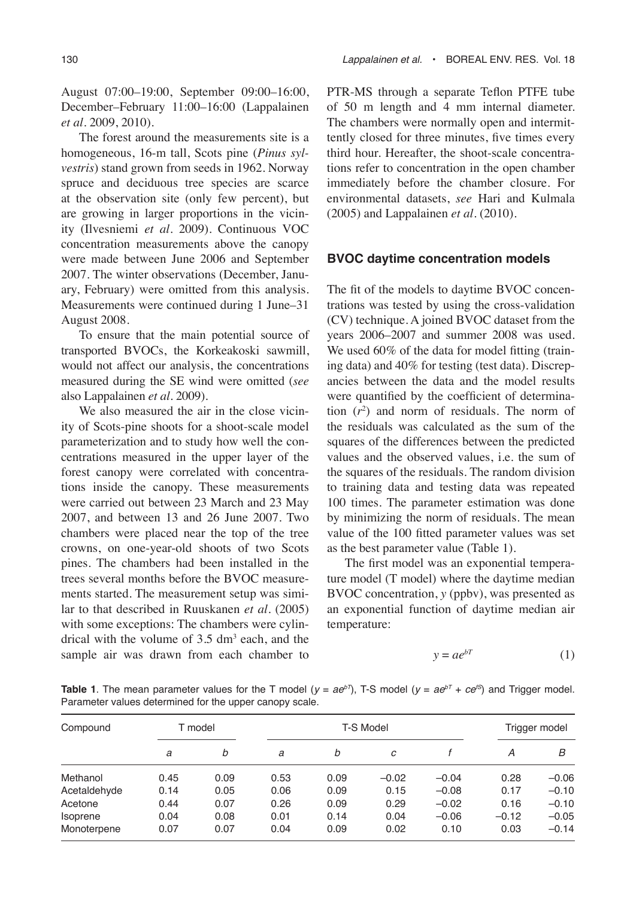August 07:00–19:00, September 09:00–16:00, December–February 11:00–16:00 (Lappalainen *et al*. 2009, 2010).

The forest around the measurements site is a homogeneous, 16-m tall, Scots pine (*Pinus sylvestris*) stand grown from seeds in 1962. Norway spruce and deciduous tree species are scarce at the observation site (only few percent), but are growing in larger proportions in the vicinity (Ilvesniemi *et al*. 2009). Continuous VOC concentration measurements above the canopy were made between June 2006 and September 2007. The winter observations (December, January, February) were omitted from this analysis. Measurements were continued during 1 June–31 August 2008.

To ensure that the main potential source of transported BVOCs, the Korkeakoski sawmill, would not affect our analysis, the concentrations measured during the SE wind were omitted (*see* also Lappalainen *et al.* 2009).

We also measured the air in the close vicinity of Scots-pine shoots for a shoot-scale model parameterization and to study how well the concentrations measured in the upper layer of the forest canopy were correlated with concentrations inside the canopy. These measurements were carried out between 23 March and 23 May 2007, and between 13 and 26 June 2007. Two chambers were placed near the top of the tree crowns, on one-year-old shoots of two Scots pines. The chambers had been installed in the trees several months before the BVOC measurements started. The measurement setup was similar to that described in Ruuskanen *et al*. (2005) with some exceptions: The chambers were cylindrical with the volume of  $3.5 \text{ dm}^3$  each, and the sample air was drawn from each chamber to

PTR-MS through a separate Teflon PTFE tube of 50 m length and 4 mm internal diameter. The chambers were normally open and intermittently closed for three minutes, five times every third hour. Hereafter, the shoot-scale concentrations refer to concentration in the open chamber immediately before the chamber closure. For environmental datasets, *see* Hari and Kulmala (2005) and Lappalainen *et al.* (2010).

#### **BVOC daytime concentration models**

The fit of the models to daytime BVOC concentrations was tested by using the cross-validation (CV) technique. A joined BVOC dataset from the years 2006–2007 and summer 2008 was used. We used 60% of the data for model fitting (training data) and 40% for testing (test data). Discrepancies between the data and the model results were quantified by the coefficient of determination (*r*<sup>2</sup> ) and norm of residuals. The norm of the residuals was calculated as the sum of the squares of the differences between the predicted values and the observed values, i.e. the sum of the squares of the residuals. The random division to training data and testing data was repeated 100 times. The parameter estimation was done by minimizing the norm of residuals. The mean value of the 100 fitted parameter values was set as the best parameter value (Table 1).

The first model was an exponential temperature model (T model) where the daytime median BVOC concentration, *y* (ppbv), was presented as an exponential function of daytime median air temperature:

$$
y = ae^{bT} \tag{1}
$$

**Table 1**. The mean parameter values for the T model ( $y = ae^{bT}$ ), T-S model ( $y = ae^{bT} + ce^{bS}$ ) and Trigger model. Parameter values determined for the upper canopy scale.

| Compound     | T model |      | <b>T-S Model</b> |      |         |         |         | Trigger model |  |
|--------------|---------|------|------------------|------|---------|---------|---------|---------------|--|
|              | a       | b    | a                | b    | с       |         | A       | B             |  |
| Methanol     | 0.45    | 0.09 | 0.53             | 0.09 | $-0.02$ | $-0.04$ | 0.28    | $-0.06$       |  |
| Acetaldehyde | 0.14    | 0.05 | 0.06             | 0.09 | 0.15    | $-0.08$ | 0.17    | $-0.10$       |  |
| Acetone      | 0.44    | 0.07 | 0.26             | 0.09 | 0.29    | $-0.02$ | 0.16    | $-0.10$       |  |
| Isoprene     | 0.04    | 0.08 | 0.01             | 0.14 | 0.04    | $-0.06$ | $-0.12$ | $-0.05$       |  |
| Monoterpene  | 0.07    | 0.07 | 0.04             | 0.09 | 0.02    | 0.10    | 0.03    | $-0.14$       |  |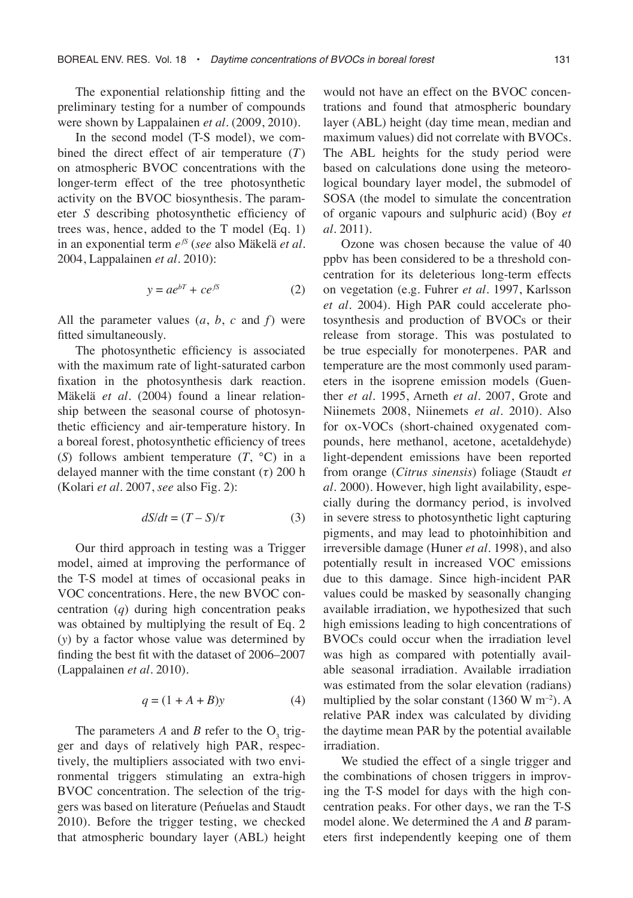The exponential relationship fitting and the preliminary testing for a number of compounds were shown by Lappalainen *et al.* (2009, 2010).

In the second model (T-S model), we combined the direct effect of air temperature (*T*) on atmospheric BVOC concentrations with the longer-term effect of the tree photosynthetic activity on the BVOC biosynthesis. The parameter *S* describing photosynthetic efficiency of trees was, hence, added to the T model (Eq. 1) in an exponential term *e fS* (*see* also Mäkelä *et al.* 2004, Lappalainen *et al.* 2010):

$$
y = ae^{bT} + ce^{fS} \tag{2}
$$

All the parameter values (*a*, *b*, *c* and *f*) were fitted simultaneously.

The photosynthetic efficiency is associated with the maximum rate of light-saturated carbon fixation in the photosynthesis dark reaction. Mäkelä *et al.* (2004) found a linear relationship between the seasonal course of photosynthetic efficiency and air-temperature history. In a boreal forest, photosynthetic efficiency of trees (*S*) follows ambient temperature (*T*, °C) in a delayed manner with the time constant (*τ*) 200 h (Kolari *et al.* 2007, *see* also Fig. 2):

$$
dS/dt = (T - S)/\tau \tag{3}
$$

Our third approach in testing was a Trigger model, aimed at improving the performance of the T-S model at times of occasional peaks in VOC concentrations. Here, the new BVOC concentration (*q*) during high concentration peaks was obtained by multiplying the result of Eq. 2 (*y*) by a factor whose value was determined by finding the best fit with the dataset of 2006–2007 (Lappalainen *et al.* 2010).

$$
q = (1 + A + B)y \tag{4}
$$

The parameters  $A$  and  $B$  refer to the  $O_3$  trigger and days of relatively high PAR, respectively, the multipliers associated with two environmental triggers stimulating an extra-high BVOC concentration. The selection of the triggers was based on literature (Peńuelas and Staudt 2010). Before the trigger testing, we checked that atmospheric boundary layer (ABL) height would not have an effect on the BVOC concentrations and found that atmospheric boundary layer (ABL) height (day time mean, median and maximum values) did not correlate with BVOCs. The ABL heights for the study period were based on calculations done using the meteorological boundary layer model, the submodel of SOSA (the model to simulate the concentration of organic vapours and sulphuric acid) (Boy *et al*. 2011).

Ozone was chosen because the value of 40 ppbv has been considered to be a threshold concentration for its deleterious long-term effects on vegetation (e.g. Fuhrer *et al.* 1997, Karlsson *et al.* 2004). High PAR could accelerate photosynthesis and production of BVOCs or their release from storage. This was postulated to be true especially for monoterpenes. PAR and temperature are the most commonly used parameters in the isoprene emission models (Guenther *et al.* 1995, Arneth *et al.* 2007, Grote and Niinemets 2008, Niinemets *et al*. 2010). Also for ox-VOCs (short-chained oxygenated compounds, here methanol, acetone, acetaldehyde) light-dependent emissions have been reported from orange (*Citrus sinensis*) foliage (Staudt *et al.* 2000). However, high light availability, especially during the dormancy period, is involved in severe stress to photosynthetic light capturing pigments, and may lead to photoinhibition and irreversible damage (Huner *et al*. 1998), and also potentially result in increased VOC emissions due to this damage. Since high-incident PAR values could be masked by seasonally changing available irradiation, we hypothesized that such high emissions leading to high concentrations of BVOCs could occur when the irradiation level was high as compared with potentially available seasonal irradiation. Available irradiation was estimated from the solar elevation (radians) multiplied by the solar constant  $(1360 \text{ W m}^{-2})$ . A relative PAR index was calculated by dividing the daytime mean PAR by the potential available irradiation.

We studied the effect of a single trigger and the combinations of chosen triggers in improving the T-S model for days with the high concentration peaks. For other days, we ran the T-S model alone. We determined the *A* and *B* parameters first independently keeping one of them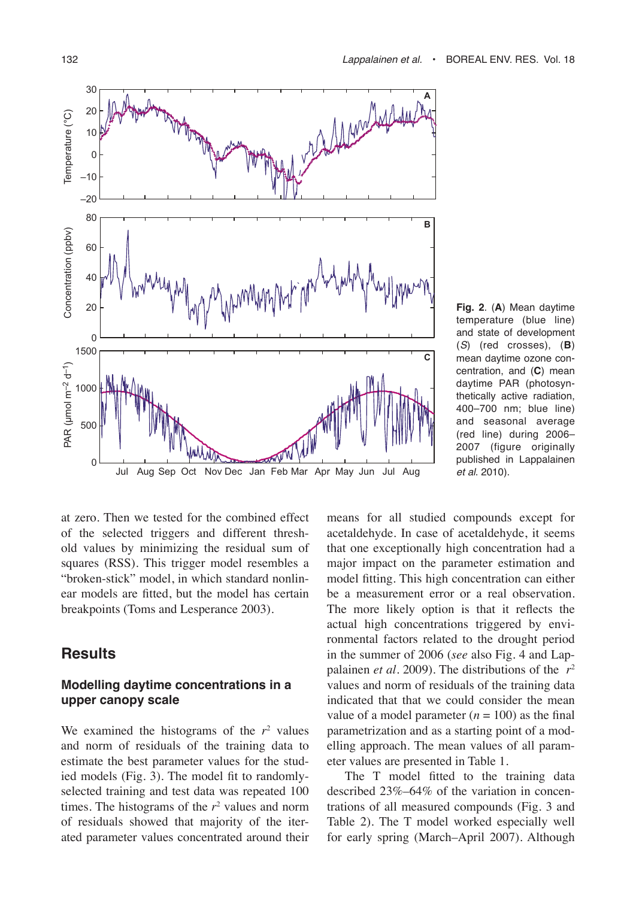

**Fig. 2**. (**A**) Mean daytime temperature (blue line) and state of development (S) (red crosses), (**B**) mean daytime ozone concentration, and (**C**) mean daytime PAR (photosynthetically active radiation, 400–700 nm; blue line) and seasonal average (red line) during 2006– 2007 (figure originally published in Lappalainen et al. 2010).

at zero. Then we tested for the combined effect of the selected triggers and different threshold values by minimizing the residual sum of squares (RSS). This trigger model resembles a "broken-stick" model, in which standard nonlinear models are fitted, but the model has certain breakpoints (Toms and Lesperance 2003).

## **Results**

## **Modelling daytime concentrations in a upper canopy scale**

We examined the histograms of the  $r^2$  values and norm of residuals of the training data to estimate the best parameter values for the studied models (Fig. 3). The model fit to randomlyselected training and test data was repeated 100 times. The histograms of the  $r<sup>2</sup>$  values and norm of residuals showed that majority of the iterated parameter values concentrated around their

means for all studied compounds except for acetaldehyde. In case of acetaldehyde, it seems that one exceptionally high concentration had a major impact on the parameter estimation and model fitting. This high concentration can either be a measurement error or a real observation. The more likely option is that it reflects the actual high concentrations triggered by environmental factors related to the drought period in the summer of 2006 (*see* also Fig. 4 and Lappalainen *et al*. 2009). The distributions of the *r*<sup>2</sup> values and norm of residuals of the training data indicated that that we could consider the mean value of a model parameter  $(n = 100)$  as the final parametrization and as a starting point of a modelling approach. The mean values of all parameter values are presented in Table 1.

The T model fitted to the training data described 23%–64% of the variation in concentrations of all measured compounds (Fig. 3 and Table 2). The T model worked especially well for early spring (March–April 2007). Although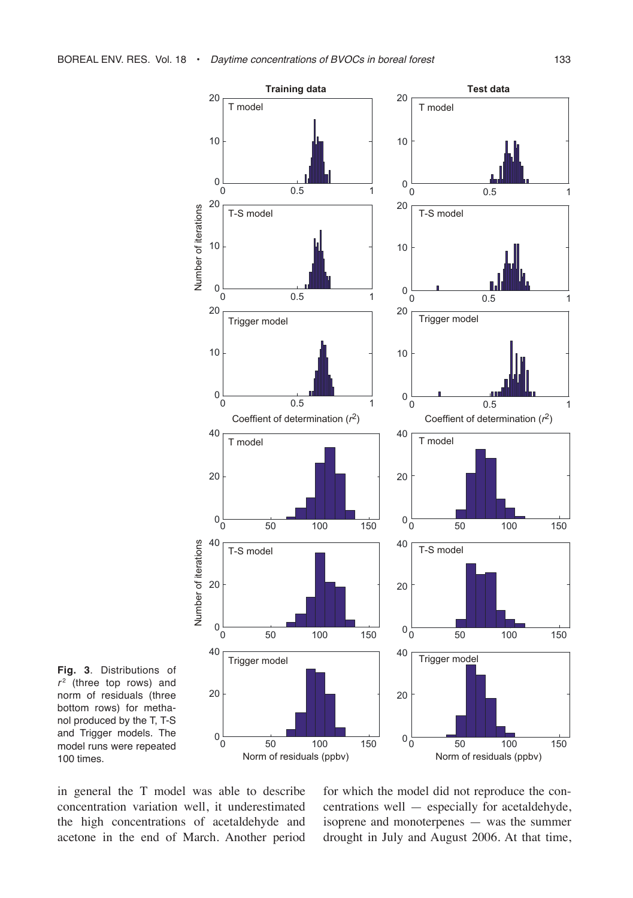

**Fig. 3**. Distributions of  $r<sup>2</sup>$  (three top rows) and norm of residuals (three bottom rows) for methanol produced by the T, T-S and Trigger models. The model runs were repeated 100 times.

in general the T model was able to describe concentration variation well, it underestimated the high concentrations of acetaldehyde and acetone in the end of March. Another period

for which the model did not reproduce the concentrations well — especially for acetaldehyde, isoprene and monoterpenes — was the summer drought in July and August 2006. At that time,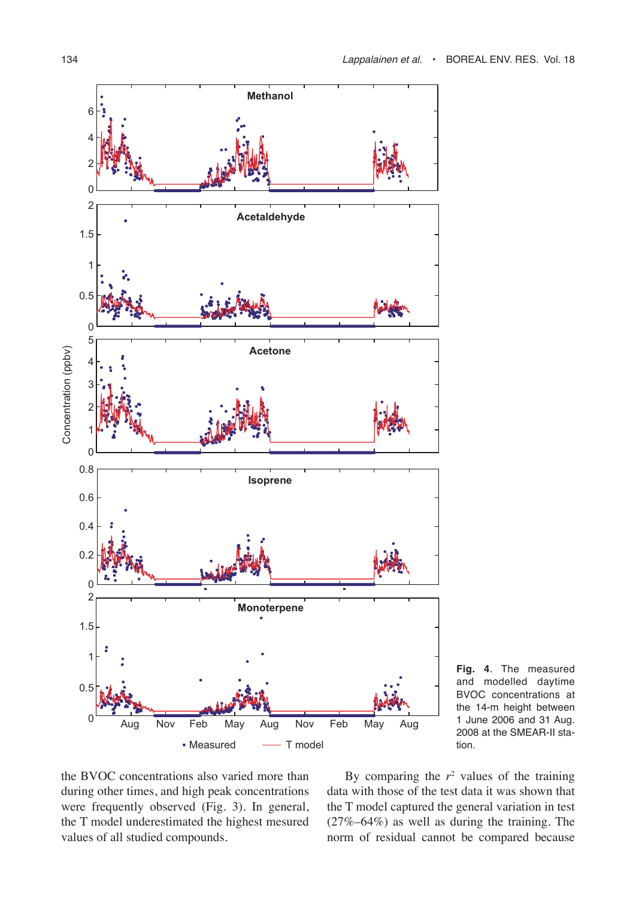

**Fig. 4**. The measured and modelled daytime BVOC concentrations at the 14-m height between 1 June 2006 and 31 Aug. 2008 at the SMEAR-II station.

the BVOC concentrations also varied more than during other times, and high peak concentrations were frequently observed (Fig. 3). In general, the T model underestimated the highest mesured values of all studied compounds.

By comparing the  $r^2$  values of the training data with those of the test data it was shown that the T model captured the general variation in test (27%–64%) as well as during the training. The norm of residual cannot be compared because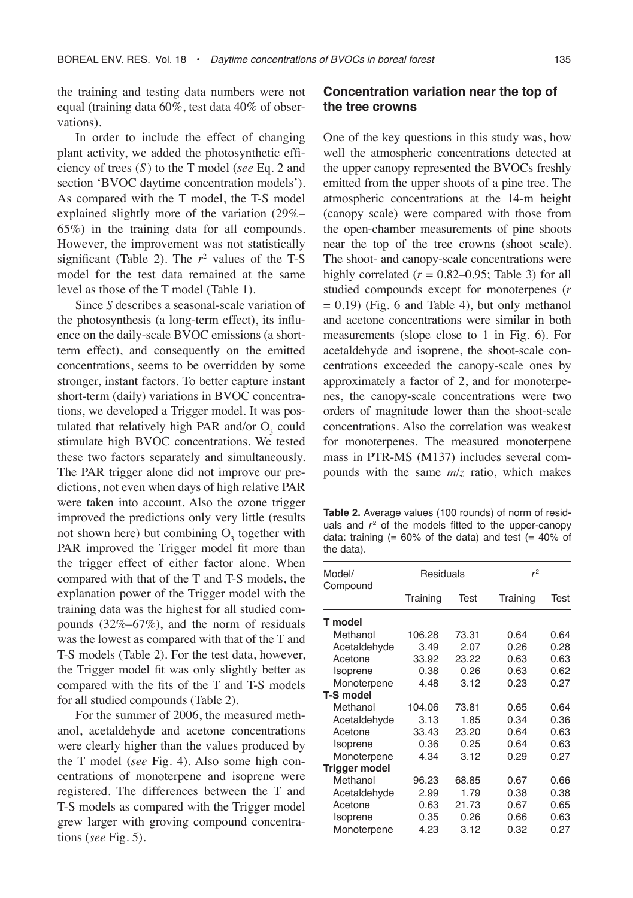the training and testing data numbers were not equal (training data 60%, test data 40% of observations).

In order to include the effect of changing plant activity, we added the photosynthetic efficiency of trees (*S*) to the T model (*see* Eq. 2 and section 'BVOC daytime concentration models'). As compared with the T model, the T-S model explained slightly more of the variation (29%– 65%) in the training data for all compounds. However, the improvement was not statistically significant (Table 2). The  $r^2$  values of the T-S model for the test data remained at the same level as those of the T model (Table 1).

Since *S* describes a seasonal-scale variation of the photosynthesis (a long-term effect), its influence on the daily-scale BVOC emissions (a shortterm effect), and consequently on the emitted concentrations, seems to be overridden by some stronger, instant factors. To better capture instant short-term (daily) variations in BVOC concentrations, we developed a Trigger model. It was postulated that relatively high PAR and/or  $O_3$  could stimulate high BVOC concentrations. We tested these two factors separately and simultaneously. The PAR trigger alone did not improve our predictions, not even when days of high relative PAR were taken into account. Also the ozone trigger improved the predictions only very little (results not shown here) but combining  $O_3$  together with PAR improved the Trigger model fit more than the trigger effect of either factor alone. When compared with that of the T and T-S models, the explanation power of the Trigger model with the training data was the highest for all studied compounds (32%–67%), and the norm of residuals was the lowest as compared with that of the T and T-S models (Table 2). For the test data, however, the Trigger model fit was only slightly better as compared with the fits of the T and T-S models for all studied compounds (Table 2).

For the summer of 2006, the measured methanol, acetaldehyde and acetone concentrations were clearly higher than the values produced by the T model (*see* Fig. 4). Also some high concentrations of monoterpene and isoprene were registered. The differences between the T and T-S models as compared with the Trigger model grew larger with groving compound concentrations (*see* Fig. 5).

## **Concentration variation near the top of the tree crowns**

One of the key questions in this study was, how well the atmospheric concentrations detected at the upper canopy represented the BVOCs freshly emitted from the upper shoots of a pine tree. The atmospheric concentrations at the 14-m height (canopy scale) were compared with those from the open-chamber measurements of pine shoots near the top of the tree crowns (shoot scale). The shoot- and canopy-scale concentrations were highly correlated  $(r = 0.82{\text -}0.95;$  Table 3) for all studied compounds except for monoterpenes (*r*  $= 0.19$ ) (Fig. 6 and Table 4), but only methanol and acetone concentrations were similar in both measurements (slope close to 1 in Fig. 6). For acetaldehyde and isoprene, the shoot-scale concentrations exceeded the canopy-scale ones by approximately a factor of 2, and for monoterpenes, the canopy-scale concentrations were two orders of magnitude lower than the shoot-scale concentrations. Also the correlation was weakest for monoterpenes. The measured monoterpene mass in PTR-MS (M137) includes several compounds with the same *m*/*z* ratio, which makes

**Table 2.** Average values (100 rounds) of norm of residuals and  $r^2$  of the models fitted to the upper-canopy data: training  $(= 60\% \text{ of the data})$  and test  $(= 40\% \text{ of the data})$ the data).

| Model/               | Residuals |       | $r^2$    |      |  |
|----------------------|-----------|-------|----------|------|--|
| Compound             | Training  | Test  | Training | Test |  |
| T model              |           |       |          |      |  |
| Methanol             | 106.28    | 73.31 | 0.64     | 0 64 |  |
| Acetaldehyde         | 3.49      | 2.07  | 0.26     | 0.28 |  |
| Acetone              | 33.92     | 23.22 | 0.63     | 0.63 |  |
| Isoprene             | 0.38      | 0.26  | 0.63     | 0.62 |  |
| Monoterpene          | 4.48      | 3.12  | 0.23     | 0.27 |  |
| <b>T-S model</b>     |           |       |          |      |  |
| Methanol             | 104.06    | 73.81 | 0.65     | 0.64 |  |
| Acetaldehyde         | 3.13      | 1.85  | 0.34     | 0.36 |  |
| Acetone              | 33.43     | 23.20 | 0.64     | 0.63 |  |
| Isoprene             | 0.36      | 0.25  | 0.64     | 0.63 |  |
| Monoterpene          | 4.34      | 3.12  | 0.29     | 0.27 |  |
| <b>Trigger model</b> |           |       |          |      |  |
| Methanol             | 96.23     | 68.85 | 0.67     | 0.66 |  |
| Acetaldehyde         | 2.99      | 1.79  | 0.38     | 0.38 |  |
| Acetone              | 0.63      | 21.73 | 0.67     | 0.65 |  |
| Isoprene             | 0.35      | 0.26  | 0.66     | 0.63 |  |
| Monoterpene          | 4.23      | 3.12  | 0.32     | 0.27 |  |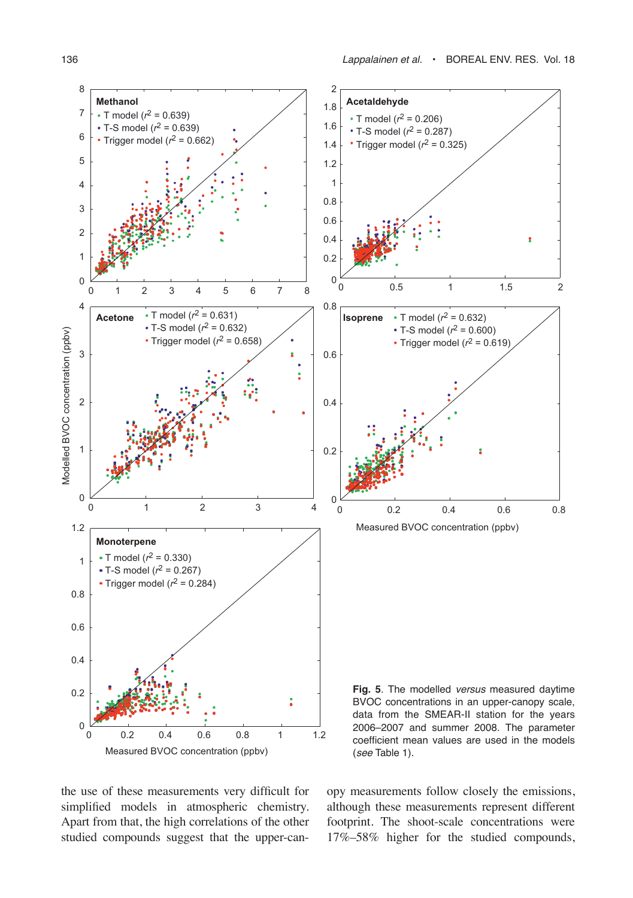

the use of these measurements very difficult for simplified models in atmospheric chemistry. Apart from that, the high correlations of the other studied compounds suggest that the upper-canopy measurements follow closely the emissions, although these measurements represent different footprint. The shoot-scale concentrations were 17%–58% higher for the studied compounds,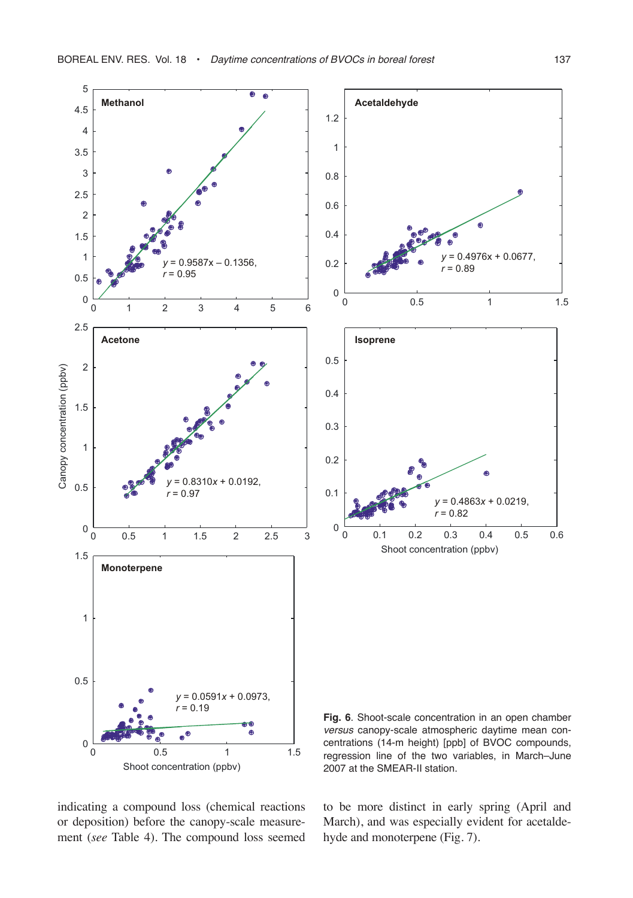

indicating a compound loss (chemical reactions or deposition) before the canopy-scale measurement (*see* Table 4). The compound loss seemed

to be more distinct in early spring (April and March), and was especially evident for acetaldehyde and monoterpene (Fig. 7).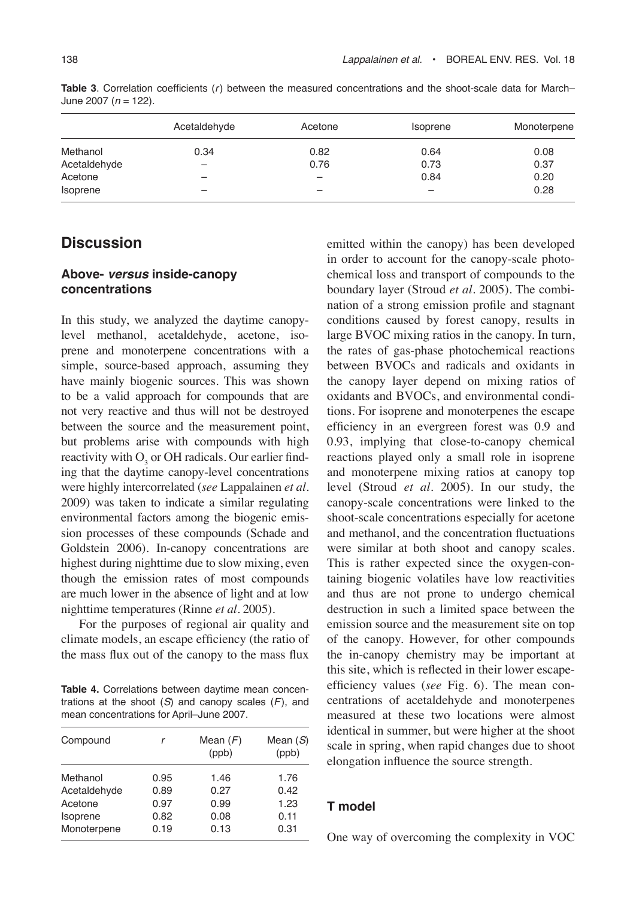|              | Acetaldehyde | Acetone | <i>soprene</i>           | Monoterpene |
|--------------|--------------|---------|--------------------------|-------------|
| Methanol     | 0.34         | 0.82    | 0.64                     | 0.08        |
| Acetaldehyde | -            | 0.76    | 0.73                     | 0.37        |
| Acetone      | -            | -       | 0.84                     | 0.20        |
| Isoprene     |              | -       | $\overline{\phantom{0}}$ | 0.28        |

**Table 3**. Correlation coefficients (r) between the measured concentrations and the shoot-scale data for March– June 2007 ( $n = 122$ ).

# **Discussion**

#### **Above- versus inside-canopy concentrations**

In this study, we analyzed the daytime canopylevel methanol, acetaldehyde, acetone, isoprene and monoterpene concentrations with a simple, source-based approach, assuming they have mainly biogenic sources. This was shown to be a valid approach for compounds that are not very reactive and thus will not be destroyed between the source and the measurement point, but problems arise with compounds with high reactivity with  $O_3$  or OH radicals. Our earlier finding that the daytime canopy-level concentrations were highly intercorrelated (*see* Lappalainen *et al.* 2009) was taken to indicate a similar regulating environmental factors among the biogenic emission processes of these compounds (Schade and Goldstein 2006). In-canopy concentrations are highest during nighttime due to slow mixing, even though the emission rates of most compounds are much lower in the absence of light and at low nighttime temperatures (Rinne *et al.* 2005).

For the purposes of regional air quality and climate models, an escape efficiency (the ratio of the mass flux out of the canopy to the mass flux

**Table 4.** Correlations between daytime mean concentrations at the shoot  $(S)$  and canopy scales  $(F)$ , and mean concentrations for April–June 2007.

| Compound     | r    | Mean $(F)$<br>(ppb) | Mean $(S)$<br>(ppb) |
|--------------|------|---------------------|---------------------|
| Methanol     | 0.95 | 1.46                | 1.76                |
| Acetaldehyde | 0.89 | 0.27                | 0.42                |
| Acetone      | 0.97 | 0.99                | 1.23                |
| Isoprene     | 0.82 | 0.08                | 0.11                |
| Monoterpene  | 0.19 | 0.13                | 0.31                |

emitted within the canopy) has been developed in order to account for the canopy-scale photochemical loss and transport of compounds to the boundary layer (Stroud *et al*. 2005). The combination of a strong emission profile and stagnant conditions caused by forest canopy, results in large BVOC mixing ratios in the canopy. In turn, the rates of gas-phase photochemical reactions between BVOCs and radicals and oxidants in the canopy layer depend on mixing ratios of oxidants and BVOCs, and environmental conditions. For isoprene and monoterpenes the escape efficiency in an evergreen forest was 0.9 and 0.93, implying that close-to-canopy chemical reactions played only a small role in isoprene and monoterpene mixing ratios at canopy top level (Stroud *et al.* 2005). In our study, the canopy-scale concentrations were linked to the shoot-scale concentrations especially for acetone and methanol, and the concentration fluctuations were similar at both shoot and canopy scales. This is rather expected since the oxygen-containing biogenic volatiles have low reactivities and thus are not prone to undergo chemical destruction in such a limited space between the emission source and the measurement site on top of the canopy. However, for other compounds the in-canopy chemistry may be important at this site, which is reflected in their lower escapeefficiency values (*see* Fig. 6). The mean concentrations of acetaldehyde and monoterpenes measured at these two locations were almost identical in summer, but were higher at the shoot scale in spring, when rapid changes due to shoot elongation influence the source strength.

### **T model**

One way of overcoming the complexity in VOC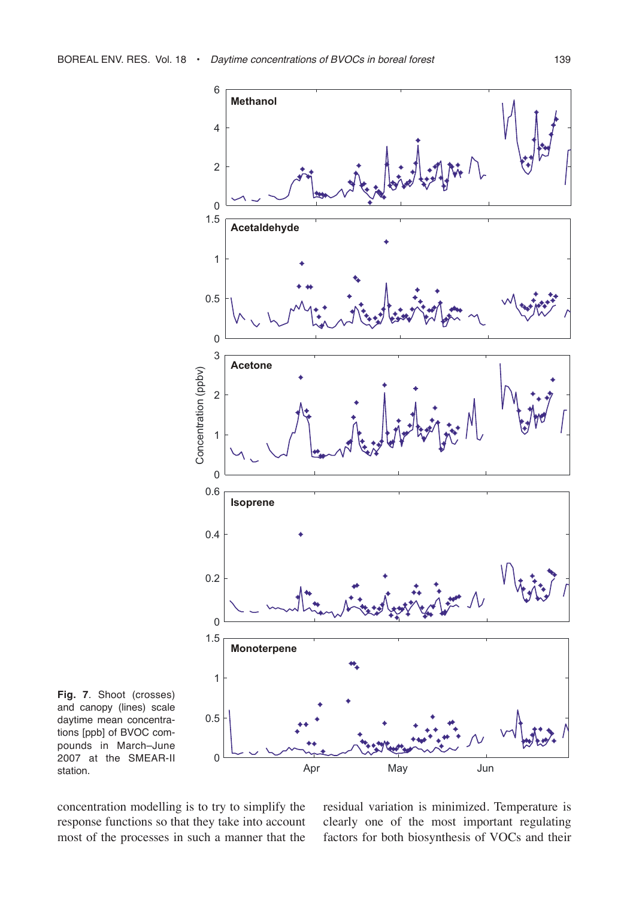

**Fig. 7**. Shoot (crosses) and canopy (lines) scale daytime mean concentrations [ppb] of BVOC compounds in March–June 2007 at the SMEAR-II station.

concentration modelling is to try to simplify the response functions so that they take into account most of the processes in such a manner that the

residual variation is minimized. Temperature is clearly one of the most important regulating factors for both biosynthesis of VOCs and their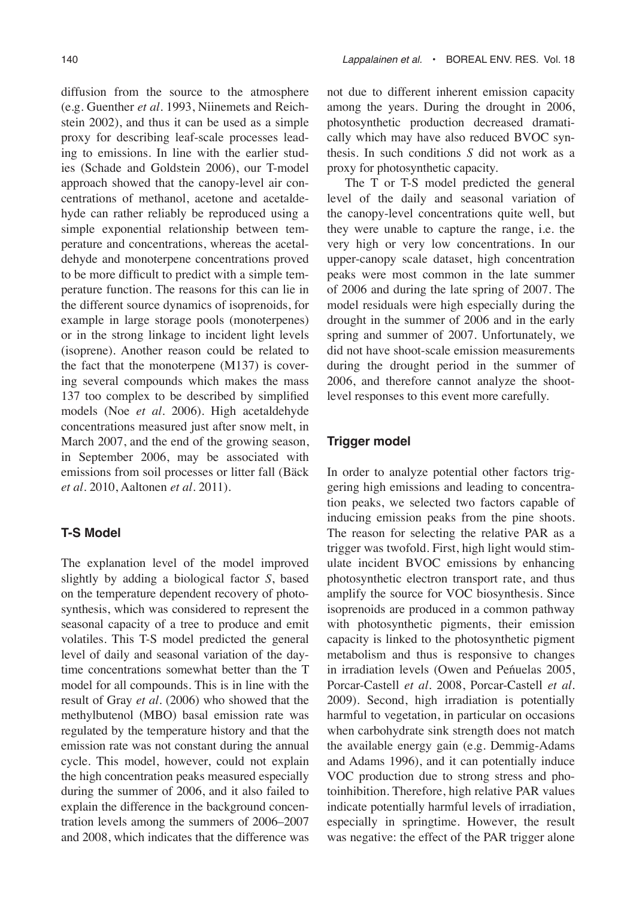diffusion from the source to the atmosphere (e.g. Guenther *et al.* 1993, Niinemets and Reichstein 2002), and thus it can be used as a simple proxy for describing leaf-scale processes leading to emissions. In line with the earlier studies (Schade and Goldstein 2006), our T-model approach showed that the canopy-level air concentrations of methanol, acetone and acetaldehyde can rather reliably be reproduced using a simple exponential relationship between temperature and concentrations, whereas the acetaldehyde and monoterpene concentrations proved to be more difficult to predict with a simple temperature function. The reasons for this can lie in the different source dynamics of isoprenoids, for example in large storage pools (monoterpenes) or in the strong linkage to incident light levels (isoprene). Another reason could be related to the fact that the monoterpene (M137) is covering several compounds which makes the mass 137 too complex to be described by simplified models (Noe *et al.* 2006). High acetaldehyde concentrations measured just after snow melt, in March 2007, and the end of the growing season, in September 2006, may be associated with emissions from soil processes or litter fall (Bäck *et al.* 2010, Aaltonen *et al.* 2011).

#### **T-S Model**

The explanation level of the model improved slightly by adding a biological factor *S*, based on the temperature dependent recovery of photosynthesis, which was considered to represent the seasonal capacity of a tree to produce and emit volatiles. This T-S model predicted the general level of daily and seasonal variation of the daytime concentrations somewhat better than the T model for all compounds. This is in line with the result of Gray *et al*. (2006) who showed that the methylbutenol (MBO) basal emission rate was regulated by the temperature history and that the emission rate was not constant during the annual cycle. This model, however, could not explain the high concentration peaks measured especially during the summer of 2006, and it also failed to explain the difference in the background concentration levels among the summers of 2006–2007 and 2008, which indicates that the difference was not due to different inherent emission capacity among the years. During the drought in 2006, photosynthetic production decreased dramatically which may have also reduced BVOC synthesis. In such conditions *S* did not work as a proxy for photosynthetic capacity.

The T or T-S model predicted the general level of the daily and seasonal variation of the canopy-level concentrations quite well, but they were unable to capture the range, i.e. the very high or very low concentrations. In our upper-canopy scale dataset, high concentration peaks were most common in the late summer of 2006 and during the late spring of 2007. The model residuals were high especially during the drought in the summer of 2006 and in the early spring and summer of 2007. Unfortunately, we did not have shoot-scale emission measurements during the drought period in the summer of 2006, and therefore cannot analyze the shootlevel responses to this event more carefully.

#### **Trigger model**

In order to analyze potential other factors triggering high emissions and leading to concentration peaks, we selected two factors capable of inducing emission peaks from the pine shoots. The reason for selecting the relative PAR as a trigger was twofold. First, high light would stimulate incident BVOC emissions by enhancing photosynthetic electron transport rate, and thus amplify the source for VOC biosynthesis. Since isoprenoids are produced in a common pathway with photosynthetic pigments, their emission capacity is linked to the photosynthetic pigment metabolism and thus is responsive to changes in irradiation levels (Owen and Peńuelas 2005, Porcar-Castell *et al.* 2008, Porcar-Castell *et al.* 2009). Second, high irradiation is potentially harmful to vegetation, in particular on occasions when carbohydrate sink strength does not match the available energy gain (e.g. Demmig-Adams and Adams 1996), and it can potentially induce VOC production due to strong stress and photoinhibition. Therefore, high relative PAR values indicate potentially harmful levels of irradiation, especially in springtime. However, the result was negative: the effect of the PAR trigger alone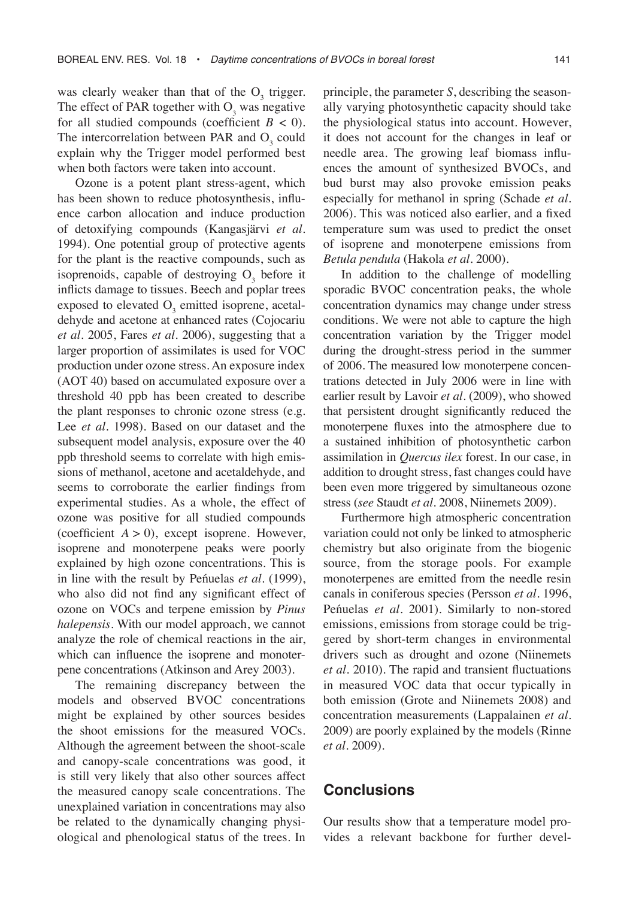was clearly weaker than that of the  $O_3$  trigger. The effect of PAR together with  $O_3$  was negative for all studied compounds (coefficient  $B < 0$ ). The intercorrelation between PAR and  $O_3$  could explain why the Trigger model performed best when both factors were taken into account.

Ozone is a potent plant stress-agent, which has been shown to reduce photosynthesis, influence carbon allocation and induce production of detoxifying compounds (Kangasjärvi *et al.* 1994). One potential group of protective agents for the plant is the reactive compounds, such as isoprenoids, capable of destroying  $O_3$  before it inflicts damage to tissues. Beech and poplar trees exposed to elevated  $O_3$  emitted isoprene, acetaldehyde and acetone at enhanced rates (Cojocariu *et al.* 2005, Fares *et al.* 2006), suggesting that a larger proportion of assimilates is used for VOC production under ozone stress. An exposure index (AOT 40) based on accumulated exposure over a threshold 40 ppb has been created to describe the plant responses to chronic ozone stress (e.g. Lee *et al*. 1998). Based on our dataset and the subsequent model analysis, exposure over the 40 ppb threshold seems to correlate with high emissions of methanol, acetone and acetaldehyde, and seems to corroborate the earlier findings from experimental studies. As a whole, the effect of ozone was positive for all studied compounds (coefficient  $A > 0$ ), except isoprene. However, isoprene and monoterpene peaks were poorly explained by high ozone concentrations. This is in line with the result by Peńuelas *et al*. (1999), who also did not find any significant effect of ozone on VOCs and terpene emission by *Pinus halepensis*. With our model approach, we cannot analyze the role of chemical reactions in the air, which can influence the isoprene and monoterpene concentrations (Atkinson and Arey 2003).

The remaining discrepancy between the models and observed BVOC concentrations might be explained by other sources besides the shoot emissions for the measured VOCs. Although the agreement between the shoot-scale and canopy-scale concentrations was good, it is still very likely that also other sources affect the measured canopy scale concentrations. The unexplained variation in concentrations may also be related to the dynamically changing physiological and phenological status of the trees. In principle, the parameter *S*, describing the seasonally varying photosynthetic capacity should take the physiological status into account. However, it does not account for the changes in leaf or needle area. The growing leaf biomass influences the amount of synthesized BVOCs, and bud burst may also provoke emission peaks especially for methanol in spring (Schade *et al.* 2006). This was noticed also earlier, and a fixed temperature sum was used to predict the onset of isoprene and monoterpene emissions from *Betula pendula* (Hakola *et al.* 2000).

In addition to the challenge of modelling sporadic BVOC concentration peaks, the whole concentration dynamics may change under stress conditions. We were not able to capture the high concentration variation by the Trigger model during the drought-stress period in the summer of 2006. The measured low monoterpene concentrations detected in July 2006 were in line with earlier result by Lavoir *et al.* (2009), who showed that persistent drought significantly reduced the monoterpene fluxes into the atmosphere due to a sustained inhibition of photosynthetic carbon assimilation in *Quercus ilex* forest. In our case, in addition to drought stress, fast changes could have been even more triggered by simultaneous ozone stress (*see* Staudt *et al.* 2008, Niinemets 2009).

Furthermore high atmospheric concentration variation could not only be linked to atmospheric chemistry but also originate from the biogenic source, from the storage pools. For example monoterpenes are emitted from the needle resin canals in coniferous species (Persson *et al.* 1996, Peńuelas *et al.* 2001). Similarly to non-stored emissions, emissions from storage could be triggered by short-term changes in environmental drivers such as drought and ozone (Niinemets *et al.* 2010). The rapid and transient fluctuations in measured VOC data that occur typically in both emission (Grote and Niinemets 2008) and concentration measurements (Lappalainen *et al.* 2009) are poorly explained by the models (Rinne *et al*. 2009).

## **Conclusions**

Our results show that a temperature model provides a relevant backbone for further devel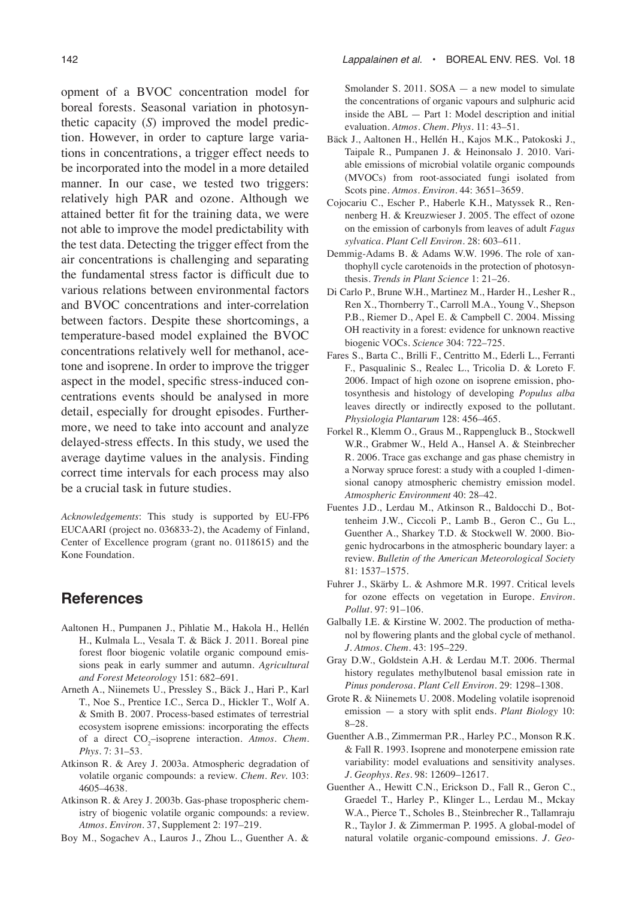opment of a BVOC concentration model for boreal forests. Seasonal variation in photosynthetic capacity (*S*) improved the model prediction. However, in order to capture large variations in concentrations, a trigger effect needs to be incorporated into the model in a more detailed manner. In our case, we tested two triggers: relatively high PAR and ozone. Although we attained better fit for the training data, we were not able to improve the model predictability with the test data. Detecting the trigger effect from the air concentrations is challenging and separating the fundamental stress factor is difficult due to various relations between environmental factors and BVOC concentrations and inter-correlation between factors. Despite these shortcomings, a temperature-based model explained the BVOC concentrations relatively well for methanol, acetone and isoprene. In order to improve the trigger aspect in the model, specific stress-induced concentrations events should be analysed in more detail, especially for drought episodes. Furthermore, we need to take into account and analyze delayed-stress effects. In this study, we used the average daytime values in the analysis. Finding correct time intervals for each process may also be a crucial task in future studies.

*Acknowledgements*: This study is supported by EU-FP6 EUCAARI (project no. 036833-2), the Academy of Finland, Center of Excellence program (grant no. 0118615) and the Kone Foundation.

# **References**

- Aaltonen H., Pumpanen J., Pihlatie M., Hakola H., Hellén H., Kulmala L., Vesala T. & Bäck J. 2011. Boreal pine forest floor biogenic volatile organic compound emissions peak in early summer and autumn. *Agricultural and Forest Meteorology* 151: 682–691.
- Arneth A., Niinemets U., Pressley S., Bäck J., Hari P., Karl T., Noe S., Prentice I.C., Serca D., Hickler T., Wolf A. & Smith B. 2007. Process-based estimates of terrestrial ecosystem isoprene emissions: incorporating the effects of a direct CO<sub>2</sub>-isoprene interaction. Atmos. Chem. *Phys.* 7: 31–53.
- Atkinson R. & Arey J. 2003a. Atmospheric degradation of volatile organic compounds: a review. *Chem. Rev.* 103: 4605–4638.
- Atkinson R. & Arey J. 2003b. Gas-phase tropospheric chemistry of biogenic volatile organic compounds: a review. *Atmos. Environ.* 37, Supplement 2: 197–219.
- Boy M., Sogachev A., Lauros J., Zhou L., Guenther A. &

Smolander S. 2011. SOSA — a new model to simulate the concentrations of organic vapours and sulphuric acid inside the ABL — Part 1: Model description and initial evaluation. *Atmos. Chem. Phys.* 11: 43–51.

- Bäck J., Aaltonen H., Hellén H., Kajos M.K., Patokoski J., Taipale R., Pumpanen J. & Heinonsalo J. 2010. Variable emissions of microbial volatile organic compounds (MVOCs) from root-associated fungi isolated from Scots pine. *Atmos. Environ.* 44: 3651–3659.
- Cojocariu C., Escher P., Haberle K.H., Matyssek R., Rennenberg H. & Kreuzwieser J. 2005. The effect of ozone on the emission of carbonyls from leaves of adult *Fagus sylvatica*. *Plant Cell Environ.* 28: 603–611.
- Demmig-Adams B. & Adams W.W. 1996. The role of xanthophyll cycle carotenoids in the protection of photosynthesis. *Trends in Plant Science* 1: 21–26.
- Di Carlo P., Brune W.H., Martinez M., Harder H., Lesher R., Ren X., Thornberry T., Carroll M.A., Young V., Shepson P.B., Riemer D., Apel E. & Campbell C. 2004. Missing OH reactivity in a forest: evidence for unknown reactive biogenic VOCs. *Science* 304: 722–725.
- Fares S., Barta C., Brilli F., Centritto M., Ederli L., Ferranti F., Pasqualinic S., Realec L., Tricolia D. & Loreto F. 2006. Impact of high ozone on isoprene emission, photosynthesis and histology of developing *Populus alba* leaves directly or indirectly exposed to the pollutant. *Physiologia Plantarum* 128: 456–465.
- Forkel R., Klemm O., Graus M., Rappengluck B., Stockwell W.R., Grabmer W., Held A., Hansel A. & Steinbrecher R. 2006. Trace gas exchange and gas phase chemistry in a Norway spruce forest: a study with a coupled 1-dimensional canopy atmospheric chemistry emission model. *Atmospheric Environment* 40: 28–42.
- Fuentes J.D., Lerdau M., Atkinson R., Baldocchi D., Bottenheim J.W., Ciccoli P., Lamb B., Geron C., Gu L., Guenther A., Sharkey T.D. & Stockwell W. 2000. Biogenic hydrocarbons in the atmospheric boundary layer: a review. *Bulletin of the American Meteorological Society* 81: 1537–1575.
- Fuhrer J., Skärby L. & Ashmore M.R. 1997. Critical levels for ozone effects on vegetation in Europe. *Environ. Pollut.* 97: 91–106.
- Galbally I.E. & Kirstine W. 2002. The production of methanol by flowering plants and the global cycle of methanol. *J. Atmos. Chem.* 43: 195–229.
- Gray D.W., Goldstein A.H. & Lerdau M.T. 2006. Thermal history regulates methylbutenol basal emission rate in *Pinus ponderosa*. *Plant Cell Environ.* 29: 1298–1308.
- Grote R. & Niinemets U. 2008. Modeling volatile isoprenoid emission — a story with split ends. *Plant Biology* 10: 8–28.
- Guenther A.B., Zimmerman P.R., Harley P.C., Monson R.K. & Fall R. 1993. Isoprene and monoterpene emission rate variability: model evaluations and sensitivity analyses. *J. Geophys. Res.* 98: 12609–12617.
- Guenther A., Hewitt C.N., Erickson D., Fall R., Geron C., Graedel T., Harley P., Klinger L., Lerdau M., Mckay W.A., Pierce T., Scholes B., Steinbrecher R., Tallamraju R., Taylor J. & Zimmerman P. 1995. A global-model of natural volatile organic-compound emissions. *J. Geo-*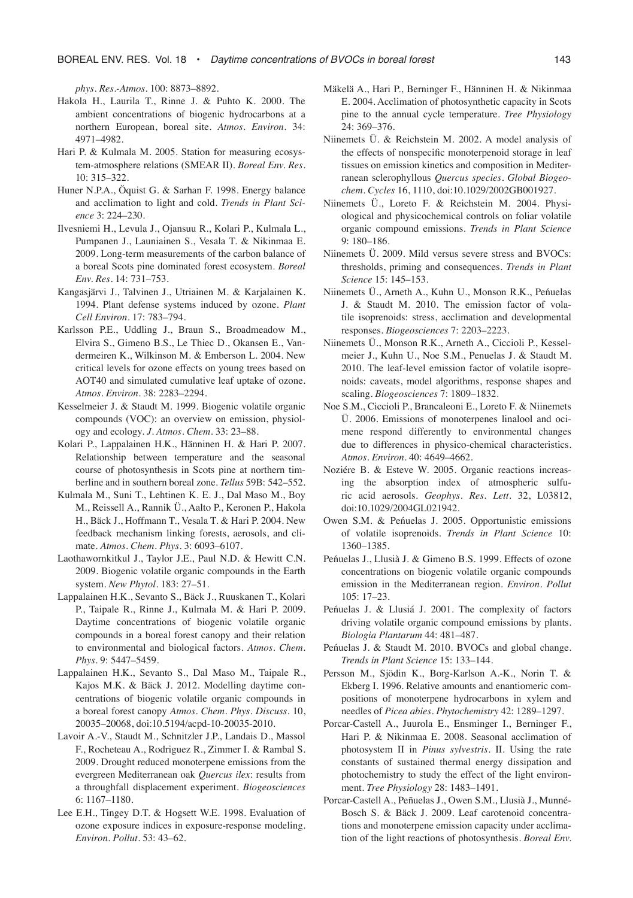*phys. Res.-Atmos.* 100: 8873–8892.

- Hakola H., Laurila T., Rinne J. & Puhto K. 2000. The ambient concentrations of biogenic hydrocarbons at a northern European, boreal site. *Atmos. Environ.* 34: 4971–4982.
- Hari P. & Kulmala M. 2005. Station for measuring ecosystem-atmosphere relations (SMEAR II). *Boreal Env. Res.* 10: 315–322.
- Huner N.P.A., Öquist G. & Sarhan F. 1998. Energy balance and acclimation to light and cold. *Trends in Plant Science* 3: 224–230.
- Ilvesniemi H., Levula J., Ojansuu R., Kolari P., Kulmala L., Pumpanen J., Launiainen S., Vesala T. & Nikinmaa E. 2009. Long-term measurements of the carbon balance of a boreal Scots pine dominated forest ecosystem. *Boreal Env. Res.* 14: 731–753.
- Kangasjärvi J., Talvinen J., Utriainen M. & Karjalainen K. 1994. Plant defense systems induced by ozone. *Plant Cell Environ.* 17: 783–794.
- Karlsson P.E., Uddling J., Braun S., Broadmeadow M., Elvira S., Gimeno B.S., Le Thiec D., Okansen E., Vandermeiren K., Wilkinson M. & Emberson L. 2004. New critical levels for ozone effects on young trees based on AOT40 and simulated cumulative leaf uptake of ozone. *Atmos. Environ.* 38: 2283–2294.
- Kesselmeier J. & Staudt M. 1999. Biogenic volatile organic compounds (VOC): an overview on emission, physiology and ecology. *J. Atmos. Chem.* 33: 23–88.
- Kolari P., Lappalainen H.K., Hänninen H. & Hari P. 2007. Relationship between temperature and the seasonal course of photosynthesis in Scots pine at northern timberline and in southern boreal zone. *Tellus* 59B: 542–552.
- Kulmala M., Suni T., Lehtinen K. E. J., Dal Maso M., Boy M., Reissell A., Rannik Ü., Aalto P., Keronen P., Hakola H., Bäck J., Hoffmann T., Vesala T. & Hari P. 2004. New feedback mechanism linking forests, aerosols, and climate. *Atmos. Chem. Phys.* 3: 6093–6107.
- Laothawornkitkul J., Taylor J.E., Paul N.D. & Hewitt C.N. 2009. Biogenic volatile organic compounds in the Earth system. *New Phytol.* 183: 27–51.
- Lappalainen H.K., Sevanto S., Bäck J., Ruuskanen T., Kolari P., Taipale R., Rinne J., Kulmala M. & Hari P. 2009. Daytime concentrations of biogenic volatile organic compounds in a boreal forest canopy and their relation to environmental and biological factors. *Atmos. Chem. Phys.* 9: 5447–5459.
- Lappalainen H.K., Sevanto S., Dal Maso M., Taipale R., Kajos M.K. & Bäck J. 2012. Modelling daytime concentrations of biogenic volatile organic compounds in a boreal forest canopy *Atmos. Chem. Phys. Discuss.* 10, 20035–20068, doi:10.5194/acpd-10-20035-2010.
- Lavoir A.-V., Staudt M., Schnitzler J.P., Landais D., Massol F., Rocheteau A., Rodriguez R., Zimmer I. & Rambal S. 2009. Drought reduced monoterpene emissions from the evergreen Mediterranean oak *Quercus ilex*: results from a throughfall displacement experiment. *Biogeosciences*  6: 1167–1180.
- Lee E.H., Tingey D.T. & Hogsett W.E. 1998. Evaluation of ozone exposure indices in exposure-response modeling. *Environ. Pollut.* 53: 43–62.
- Mäkelä A., Hari P., Berninger F., Hänninen H. & Nikinmaa E. 2004. Acclimation of photosynthetic capacity in Scots pine to the annual cycle temperature. *Tree Physiology* 24: 369–376.
- Niinemets Ü. & Reichstein M. 2002. A model analysis of the effects of nonspecific monoterpenoid storage in leaf tissues on emission kinetics and composition in Mediterranean sclerophyllous *Quercus species. Global Biogeochem. Cycles* 16, 1110, doi:10.1029/2002GB001927.
- Niinemets Ü., Loreto F. & Reichstein M. 2004. Physiological and physicochemical controls on foliar volatile organic compound emissions. *Trends in Plant Science* 9: 180–186.
- Niinemets Ü. 2009. Mild versus severe stress and BVOCs: thresholds, priming and consequences. *Trends in Plant Science* 15: 145–153.
- Niinemets Ü., Arneth A., Kuhn U., Monson R.K., Peńuelas J. & Staudt M. 2010. The emission factor of volatile isoprenoids: stress, acclimation and developmental responses. *Biogeosciences* 7: 2203–2223.
- Niinemets Ü., Monson R.K., Arneth A., Ciccioli P., Kesselmeier J., Kuhn U., Noe S.M., Penuelas J. & Staudt M. 2010. The leaf-level emission factor of volatile isoprenoids: caveats, model algorithms, response shapes and scaling. *Biogeosciences* 7: 1809–1832.
- Noe S.M., Ciccioli P., Brancaleoni E., Loreto F. & Niinemets Ü. 2006. Emissions of monoterpenes linalool and ocimene respond differently to environmental changes due to differences in physico-chemical characteristics. *Atmos. Environ.* 40: 4649–4662.
- Noziére B. & Esteve W. 2005. Organic reactions increasing the absorption index of atmospheric sulfuric acid aerosols. *Geophys. Res. Lett*. 32, L03812, doi:10.1029/2004GL021942.
- Owen S.M. & Peńuelas J. 2005. Opportunistic emissions of volatile isoprenoids. *Trends in Plant Science* 10: 1360–1385.
- Peńuelas J., Llusià J. & Gimeno B.S. 1999. Effects of ozone concentrations on biogenic volatile organic compounds emission in the Mediterranean region. *Environ. Pollut* 105: 17–23.
- Peńuelas J. & Llusiá J. 2001. The complexity of factors driving volatile organic compound emissions by plants. *Biologia Plantarum* 44: 481–487.
- Peńuelas J. & Staudt M. 2010. BVOCs and global change. *Trends in Plant Science* 15: 133–144.
- Persson M., Sjödin K., Borg-Karlson A.-K., Norin T. & Ekberg I. 1996. Relative amounts and enantiomeric compositions of monoterpene hydrocarbons in xylem and needles of *Picea abies*. *Phytochemistry* 42: 1289–1297.
- Porcar-Castell A., Juurola E., Ensminger I., Berninger F., Hari P. & Nikinmaa E. 2008. Seasonal acclimation of photosystem II in *Pinus sylvestris.* II. Using the rate constants of sustained thermal energy dissipation and photochemistry to study the effect of the light environment. *Tree Physiology* 28: 1483–1491.
- Porcar-Castell A., Peñuelas J., Owen S.M., Llusià J., Munné-Bosch S. & Bäck J. 2009. Leaf carotenoid concentrations and monoterpene emission capacity under acclimation of the light reactions of photosynthesis. *Boreal Env.*